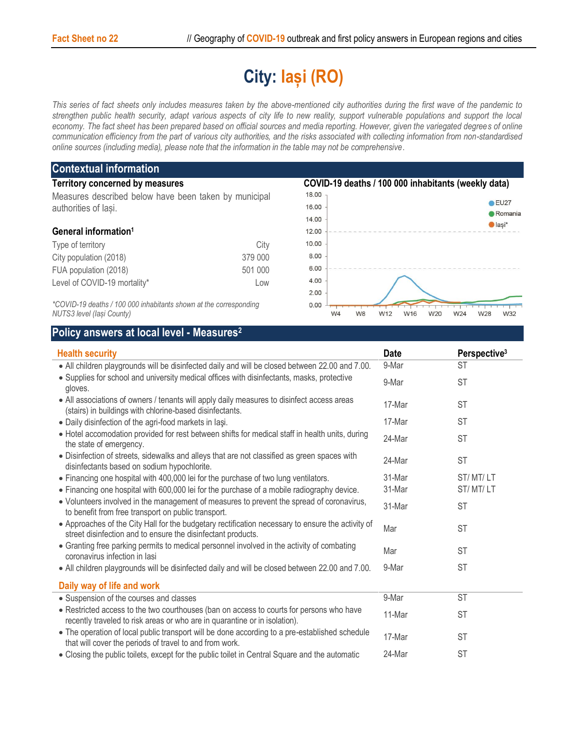## **City: Iași (RO)**

*This series of fact sheets only includes measures taken by the above-mentioned city authorities during the first wave of the pandemic to strengthen public health security, adapt various aspects of city life to new reality, support vulnerable populations and support the local*  economy. The fact sheet has been prepared based on official sources and media reporting. However, given the variegated degrees of online *communication efficiency from the part of various city authorities, and the risks associated with collecting information from non-standardised online sources (including media), please note that the information in the table may not be comprehensive*.

| <b>Contextual information</b>                                                                  |         |                                                               |                                   |  |  |
|------------------------------------------------------------------------------------------------|---------|---------------------------------------------------------------|-----------------------------------|--|--|
| <b>Territory concerned by measures</b>                                                         |         | COVID-19 deaths / 100 000 inhabitants (weekly data)           |                                   |  |  |
| Measures described below have been taken by municipal<br>authorities of lasi.                  |         | 18.00                                                         |                                   |  |  |
|                                                                                                |         | 16.00                                                         | $C$ EU27                          |  |  |
|                                                                                                |         | 14.00                                                         | <b>Romania</b><br>$\bullet$ lasi* |  |  |
| General information <sup>1</sup>                                                               |         | 12.00                                                         |                                   |  |  |
| Type of territory                                                                              | City    | 10.00                                                         |                                   |  |  |
| City population (2018)                                                                         | 379 000 | 8.00                                                          |                                   |  |  |
| FUA population (2018)                                                                          | 501 000 | 6.00                                                          |                                   |  |  |
| Level of COVID-19 mortality*                                                                   | Low     | 4.00                                                          |                                   |  |  |
|                                                                                                |         | 2.00                                                          |                                   |  |  |
| *COVID-19 deaths / 100 000 inhabitants shown at the corresponding<br>NUTS3 level (lasi County) |         | 0.00<br>W <sub>8</sub><br>W12<br>W <sub>4</sub><br>W16<br>W20 | W32<br>W24<br>W28                 |  |  |

*NUTS3 level (Iași County)*

## **Policy answers at local level - Measures<sup>2</sup>**

| <b>Health security</b>                                                                                                                                                 |        | Perspective <sup>3</sup><br><b>Date</b> |  |
|------------------------------------------------------------------------------------------------------------------------------------------------------------------------|--------|-----------------------------------------|--|
| • All children playgrounds will be disinfected daily and will be closed between 22.00 and 7.00.                                                                        | 9-Mar  | <b>ST</b>                               |  |
| • Supplies for school and university medical offices with disinfectants, masks, protective<br>gloves.                                                                  |        | <b>ST</b>                               |  |
| • All associations of owners / tenants will apply daily measures to disinfect access areas<br>(stairs) in buildings with chlorine-based disinfectants.                 | 17-Mar | <b>ST</b>                               |  |
| . Daily disinfection of the agri-food markets in lasi.                                                                                                                 | 17-Mar | <b>ST</b>                               |  |
| • Hotel accomodation provided for rest between shifts for medical staff in health units, during<br>the state of emergency.                                             |        | <b>ST</b>                               |  |
| . Disinfection of streets, sidewalks and alleys that are not classified as green spaces with<br>disinfectants based on sodium hypochlorite.                            | 24-Mar | <b>ST</b>                               |  |
| • Financing one hospital with 400,000 lei for the purchase of two lung ventilators.                                                                                    | 31-Mar | ST/MT/LT                                |  |
| • Financing one hospital with 600,000 lei for the purchase of a mobile radiography device.                                                                             | 31-Mar | ST/MT/LT                                |  |
| • Volunteers involved in the management of measures to prevent the spread of coronavirus,<br>to benefit from free transport on public transport.                       | 31-Mar | <b>ST</b>                               |  |
| • Approaches of the City Hall for the budgetary rectification necessary to ensure the activity of<br>street disinfection and to ensure the disinfectant products.      | Mar    | <b>ST</b>                               |  |
| • Granting free parking permits to medical personnel involved in the activity of combating<br>coronavirus infection in lasi                                            |        | <b>ST</b>                               |  |
| • All children playgrounds will be disinfected daily and will be closed between 22.00 and 7.00.                                                                        | 9-Mar  | <b>ST</b>                               |  |
| Daily way of life and work                                                                                                                                             |        |                                         |  |
| • Suspension of the courses and classes                                                                                                                                | 9-Mar  | <b>ST</b>                               |  |
| • Restricted access to the two courthouses (ban on access to courts for persons who have<br>recently traveled to risk areas or who are in quarantine or in isolation). | 11-Mar | <b>ST</b>                               |  |
| . The operation of local public transport will be done according to a pre-established schedule<br>that will cover the periods of travel to and from work.              | 17-Mar | <b>ST</b>                               |  |
| • Closing the public toilets, except for the public toilet in Central Square and the automatic                                                                         | 24-Mar | <b>ST</b>                               |  |